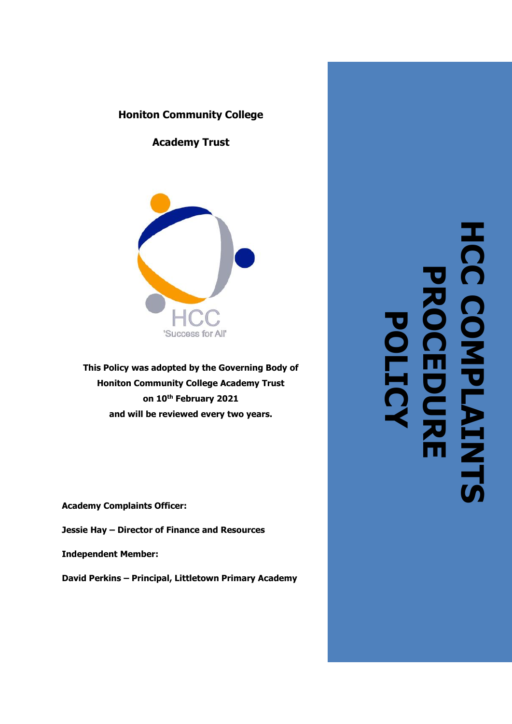# **Honiton Community College**

**Academy Trust**



**This Policy was adopted by the Governing Body of Honiton Community College Academy Trust on 10th February 2021 and will be reviewed every two years.**

**Academy Complaints Officer:**

**Jessie Hay – Director of Finance and Resources**

**Independent Member:**

**David Perkins – Principal, Littletown Primary Academy**

HCC COMPLAIN<br>HCC COMPLAIN **HCC COMPLAINTS PROCEDURE POLICY**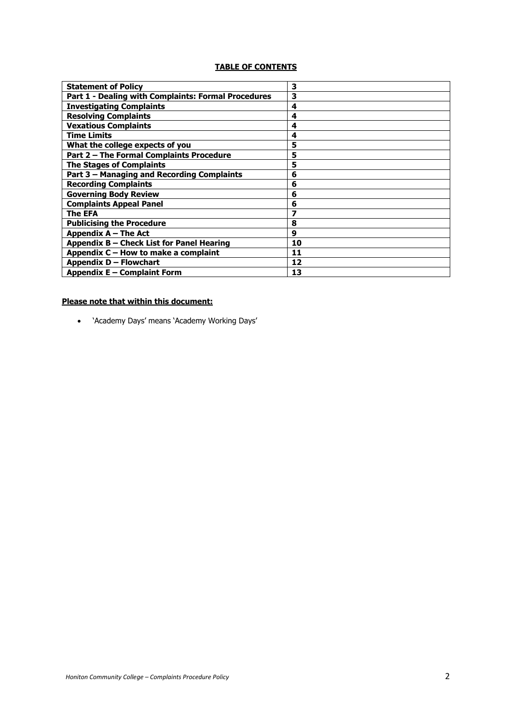## **TABLE OF CONTENTS**

| <b>Statement of Policy</b>                          | 3  |
|-----------------------------------------------------|----|
| Part 1 - Dealing with Complaints: Formal Procedures | 3  |
| <b>Investigating Complaints</b>                     | 4  |
| <b>Resolving Complaints</b>                         | 4  |
| <b>Vexatious Complaints</b>                         | 4  |
| <b>Time Limits</b>                                  | 4  |
| What the college expects of you                     | 5  |
| Part 2 - The Formal Complaints Procedure            | 5  |
| <b>The Stages of Complaints</b>                     | 5  |
| Part 3 - Managing and Recording Complaints          | 6  |
| <b>Recording Complaints</b>                         | 6  |
| <b>Governing Body Review</b>                        | 6  |
| <b>Complaints Appeal Panel</b>                      | 6  |
| The EFA                                             | 7  |
| <b>Publicising the Procedure</b>                    | 8  |
| Appendix A - The Act                                | 9  |
| Appendix B - Check List for Panel Hearing           | 10 |
| Appendix C - How to make a complaint                | 11 |
| Appendix D - Flowchart                              | 12 |
| Appendix E – Complaint Form                         | 13 |

# **Please note that within this document:**

• 'Academy Days' means 'Academy Working Days'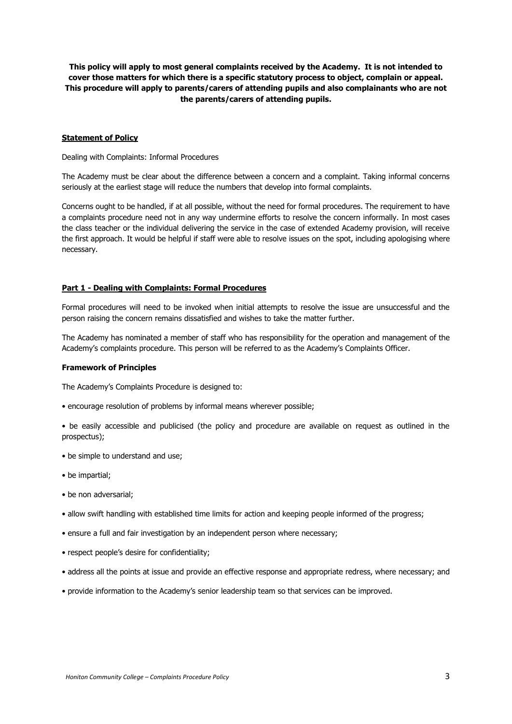**This policy will apply to most general complaints received by the Academy. It is not intended to cover those matters for which there is a specific statutory process to object, complain or appeal. This procedure will apply to parents/carers of attending pupils and also complainants who are not the parents/carers of attending pupils.**

#### **Statement of Policy**

Dealing with Complaints: Informal Procedures

The Academy must be clear about the difference between a concern and a complaint. Taking informal concerns seriously at the earliest stage will reduce the numbers that develop into formal complaints.

Concerns ought to be handled, if at all possible, without the need for formal procedures. The requirement to have a complaints procedure need not in any way undermine efforts to resolve the concern informally. In most cases the class teacher or the individual delivering the service in the case of extended Academy provision, will receive the first approach. It would be helpful if staff were able to resolve issues on the spot, including apologising where necessary.

### **Part 1 - Dealing with Complaints: Formal Procedures**

Formal procedures will need to be invoked when initial attempts to resolve the issue are unsuccessful and the person raising the concern remains dissatisfied and wishes to take the matter further.

The Academy has nominated a member of staff who has responsibility for the operation and management of the Academy's complaints procedure. This person will be referred to as the Academy's Complaints Officer.

#### **Framework of Principles**

The Academy's Complaints Procedure is designed to:

- encourage resolution of problems by informal means wherever possible;
- be easily accessible and publicised (the policy and procedure are available on request as outlined in the prospectus);
- be simple to understand and use;
- be impartial;
- be non adversarial;
- allow swift handling with established time limits for action and keeping people informed of the progress;
- ensure a full and fair investigation by an independent person where necessary;
- respect people's desire for confidentiality;
- address all the points at issue and provide an effective response and appropriate redress, where necessary; and
- provide information to the Academy's senior leadership team so that services can be improved.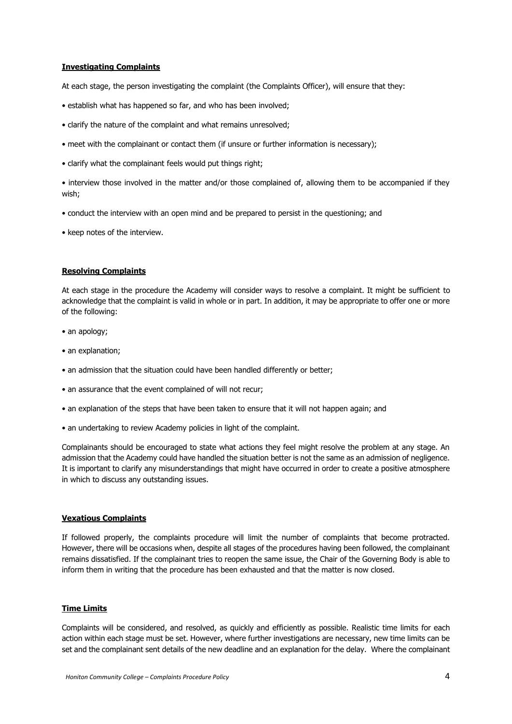#### **Investigating Complaints**

At each stage, the person investigating the complaint (the Complaints Officer), will ensure that they:

- establish what has happened so far, and who has been involved;
- clarify the nature of the complaint and what remains unresolved;
- meet with the complainant or contact them (if unsure or further information is necessary);
- clarify what the complainant feels would put things right;

• interview those involved in the matter and/or those complained of, allowing them to be accompanied if they wish;

- conduct the interview with an open mind and be prepared to persist in the questioning; and
- keep notes of the interview.

### **Resolving Complaints**

At each stage in the procedure the Academy will consider ways to resolve a complaint. It might be sufficient to acknowledge that the complaint is valid in whole or in part. In addition, it may be appropriate to offer one or more of the following:

- an apology;
- an explanation;
- an admission that the situation could have been handled differently or better;
- an assurance that the event complained of will not recur;
- an explanation of the steps that have been taken to ensure that it will not happen again; and
- an undertaking to review Academy policies in light of the complaint.

Complainants should be encouraged to state what actions they feel might resolve the problem at any stage. An admission that the Academy could have handled the situation better is not the same as an admission of negligence. It is important to clarify any misunderstandings that might have occurred in order to create a positive atmosphere in which to discuss any outstanding issues.

#### **Vexatious Complaints**

If followed properly, the complaints procedure will limit the number of complaints that become protracted. However, there will be occasions when, despite all stages of the procedures having been followed, the complainant remains dissatisfied. If the complainant tries to reopen the same issue, the Chair of the Governing Body is able to inform them in writing that the procedure has been exhausted and that the matter is now closed.

#### **Time Limits**

Complaints will be considered, and resolved, as quickly and efficiently as possible. Realistic time limits for each action within each stage must be set. However, where further investigations are necessary, new time limits can be set and the complainant sent details of the new deadline and an explanation for the delay. Where the complainant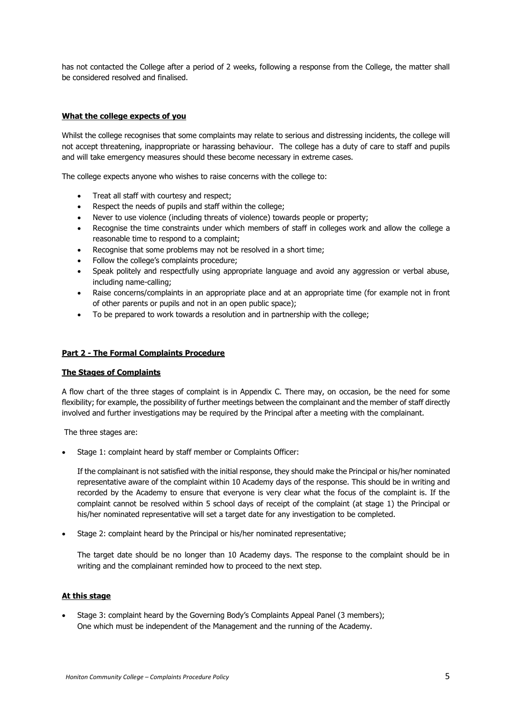has not contacted the College after a period of 2 weeks, following a response from the College, the matter shall be considered resolved and finalised.

### **What the college expects of you**

Whilst the college recognises that some complaints may relate to serious and distressing incidents, the college will not accept threatening, inappropriate or harassing behaviour. The college has a duty of care to staff and pupils and will take emergency measures should these become necessary in extreme cases.

The college expects anyone who wishes to raise concerns with the college to:

- Treat all staff with courtesy and respect;
- Respect the needs of pupils and staff within the college;
- Never to use violence (including threats of violence) towards people or property;
- Recognise the time constraints under which members of staff in colleges work and allow the college a reasonable time to respond to a complaint;
- Recognise that some problems may not be resolved in a short time;
- Follow the college's complaints procedure;
- Speak politely and respectfully using appropriate language and avoid any aggression or verbal abuse, including name-calling;
- Raise concerns/complaints in an appropriate place and at an appropriate time (for example not in front of other parents or pupils and not in an open public space);
- To be prepared to work towards a resolution and in partnership with the college;

### **Part 2 - The Formal Complaints Procedure**

#### **The Stages of Complaints**

A flow chart of the three stages of complaint is in Appendix C. There may, on occasion, be the need for some flexibility; for example, the possibility of further meetings between the complainant and the member of staff directly involved and further investigations may be required by the Principal after a meeting with the complainant.

The three stages are:

Stage 1: complaint heard by staff member or Complaints Officer:

If the complainant is not satisfied with the initial response, they should make the Principal or his/her nominated representative aware of the complaint within 10 Academy days of the response. This should be in writing and recorded by the Academy to ensure that everyone is very clear what the focus of the complaint is. If the complaint cannot be resolved within 5 school days of receipt of the complaint (at stage 1) the Principal or his/her nominated representative will set a target date for any investigation to be completed.

• Stage 2: complaint heard by the Principal or his/her nominated representative;

The target date should be no longer than 10 Academy days. The response to the complaint should be in writing and the complainant reminded how to proceed to the next step.

### **At this stage**

• Stage 3: complaint heard by the Governing Body's Complaints Appeal Panel (3 members); One which must be independent of the Management and the running of the Academy.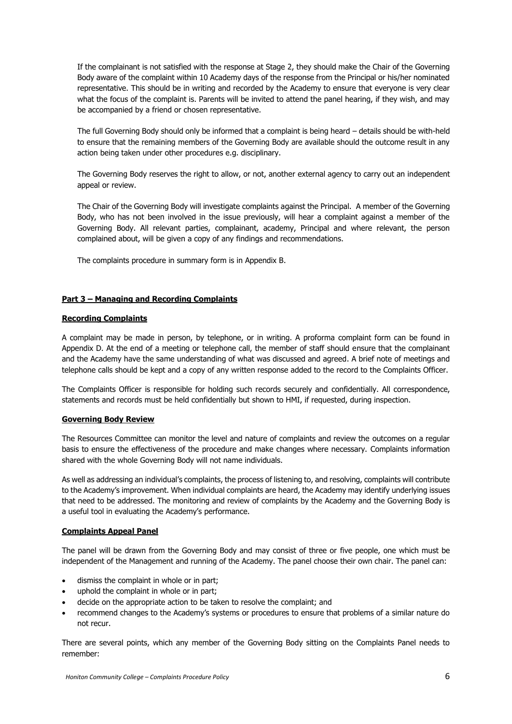If the complainant is not satisfied with the response at Stage 2, they should make the Chair of the Governing Body aware of the complaint within 10 Academy days of the response from the Principal or his/her nominated representative. This should be in writing and recorded by the Academy to ensure that everyone is very clear what the focus of the complaint is. Parents will be invited to attend the panel hearing, if they wish, and may be accompanied by a friend or chosen representative.

The full Governing Body should only be informed that a complaint is being heard – details should be with-held to ensure that the remaining members of the Governing Body are available should the outcome result in any action being taken under other procedures e.g. disciplinary.

The Governing Body reserves the right to allow, or not, another external agency to carry out an independent appeal or review.

The Chair of the Governing Body will investigate complaints against the Principal. A member of the Governing Body, who has not been involved in the issue previously, will hear a complaint against a member of the Governing Body. All relevant parties, complainant, academy, Principal and where relevant, the person complained about, will be given a copy of any findings and recommendations.

The complaints procedure in summary form is in Appendix B.

### **Part 3 – Managing and Recording Complaints**

#### **Recording Complaints**

A complaint may be made in person, by telephone, or in writing. A proforma complaint form can be found in Appendix D. At the end of a meeting or telephone call, the member of staff should ensure that the complainant and the Academy have the same understanding of what was discussed and agreed. A brief note of meetings and telephone calls should be kept and a copy of any written response added to the record to the Complaints Officer.

The Complaints Officer is responsible for holding such records securely and confidentially. All correspondence, statements and records must be held confidentially but shown to HMI, if requested, during inspection.

#### **Governing Body Review**

The Resources Committee can monitor the level and nature of complaints and review the outcomes on a regular basis to ensure the effectiveness of the procedure and make changes where necessary. Complaints information shared with the whole Governing Body will not name individuals.

As well as addressing an individual's complaints, the process of listening to, and resolving, complaints will contribute to the Academy's improvement. When individual complaints are heard, the Academy may identify underlying issues that need to be addressed. The monitoring and review of complaints by the Academy and the Governing Body is a useful tool in evaluating the Academy's performance.

### **Complaints Appeal Panel**

The panel will be drawn from the Governing Body and may consist of three or five people, one which must be independent of the Management and running of the Academy. The panel choose their own chair. The panel can:

- dismiss the complaint in whole or in part;
- uphold the complaint in whole or in part;
- decide on the appropriate action to be taken to resolve the complaint; and
- recommend changes to the Academy's systems or procedures to ensure that problems of a similar nature do not recur.

There are several points, which any member of the Governing Body sitting on the Complaints Panel needs to remember: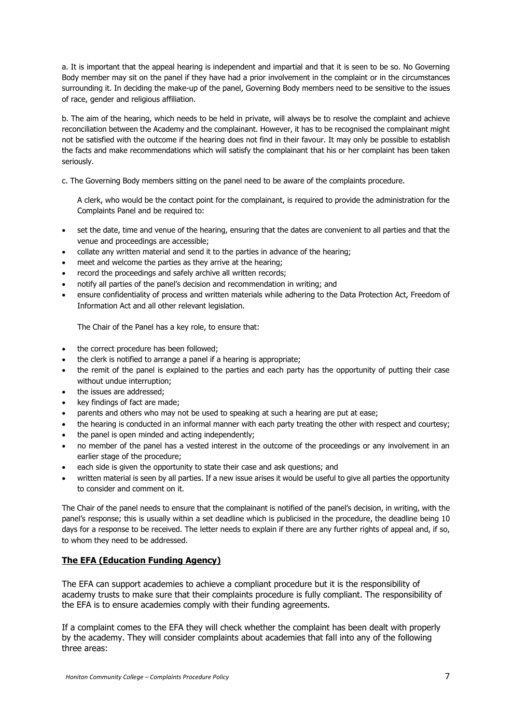a. It is important that the appeal hearing is independent and impartial and that it is seen to be so. No Governing Body member may sit on the panel if they have had a prior involvement in the complaint or in the circumstances surrounding it. In deciding the make-up of the panel, Governing Body members need to be sensitive to the issues of race, gender and religious affiliation.

b. The aim of the hearing, which needs to be held in private, will always be to resolve the complaint and achieve reconciliation between the Academy and the complainant. However, it has to be recognised the complainant might not be satisfied with the outcome if the hearing does not find in their favour. It may only be possible to establish the facts and make recommendations which will satisfy the complainant that his or her complaint has been taken seriously.

c. The Governing Body members sitting on the panel need to be aware of the complaints procedure.

A clerk, who would be the contact point for the complainant, is required to provide the administration for the Complaints Panel and be required to:

- set the date, time and venue of the hearing, ensuring that the dates are convenient to all parties and that the venue and proceedings are accessible;
- collate any written material and send it to the parties in advance of the hearing;
- meet and welcome the parties as they arrive at the hearing;
- record the proceedings and safely archive all written records;
- notify all parties of the panel's decision and recommendation in writing; and
- ensure confidentiality of process and written materials while adhering to the Data Protection Act, Freedom of Information Act and all other relevant legislation.

The Chair of the Panel has a key role, to ensure that:

- the correct procedure has been followed;
- the clerk is notified to arrange a panel if a hearing is appropriate;
- the remit of the panel is explained to the parties and each party has the opportunity of putting their case without undue interruption;
- the issues are addressed;
- key findings of fact are made;
- parents and others who may not be used to speaking at such a hearing are put at ease;
- the hearing is conducted in an informal manner with each party treating the other with respect and courtesy;
- the panel is open minded and acting independently;
- no member of the panel has a vested interest in the outcome of the proceedings or any involvement in an earlier stage of the procedure;
- each side is given the opportunity to state their case and ask questions; and
- written material is seen by all parties. If a new issue arises it would be useful to give all parties the opportunity to consider and comment on it.

The Chair of the panel needs to ensure that the complainant is notified of the panel's decision, in writing, with the panel's response; this is usually within a set deadline which is publicised in the procedure, the deadline being 10 days for a response to be received. The letter needs to explain if there are any further rights of appeal and, if so, to whom they need to be addressed.

## **The EFA (Education Funding Agency)**

The EFA can support academies to achieve a compliant procedure but it is the responsibility of academy trusts to make sure that their complaints procedure is fully compliant. The responsibility of the EFA is to ensure academies comply with their funding agreements.

If a complaint comes to the EFA they will check whether the complaint has been dealt with properly by the academy. They will consider complaints about academies that fall into any of the following three areas: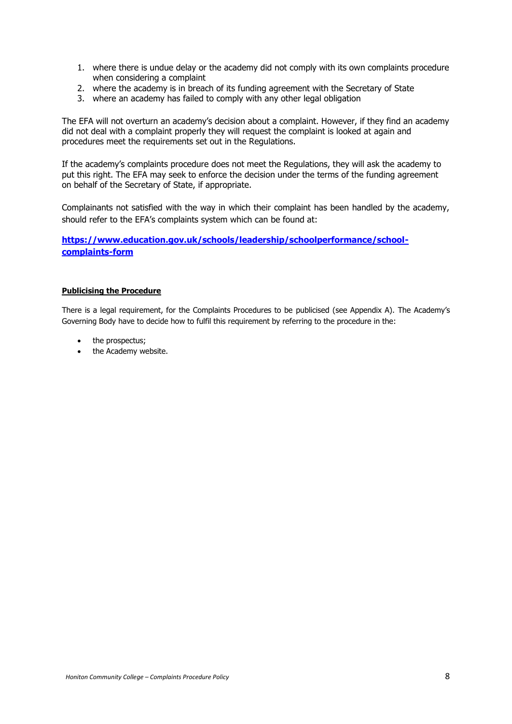- 1. where there is undue delay or the academy did not comply with its own complaints procedure when considering a complaint
- 2. where the academy is in breach of its funding agreement with the Secretary of State
- 3. where an academy has failed to comply with any other legal obligation

The EFA will not overturn an academy's decision about a complaint. However, if they find an academy did not deal with a complaint properly they will request the complaint is looked at again and procedures meet the requirements set out in the Regulations.

If the academy's complaints procedure does not meet the Regulations, they will ask the academy to put this right. The EFA may seek to enforce the decision under the terms of the funding agreement on behalf of the Secretary of State, if appropriate.

Complainants not satisfied with the way in which their complaint has been handled by the academy, should refer to the EFA's complaints system which can be found at:

## **[https://www.education.gov.uk/schools/leadership/schoolperformance/school](https://www.education.gov.uk/schools/leadership/schoolperformance/school-complaints-form)[complaints-form](https://www.education.gov.uk/schools/leadership/schoolperformance/school-complaints-form)**

### **Publicising the Procedure**

There is a legal requirement, for the Complaints Procedures to be publicised (see Appendix A). The Academy's Governing Body have to decide how to fulfil this requirement by referring to the procedure in the:

- the prospectus;
- the Academy website.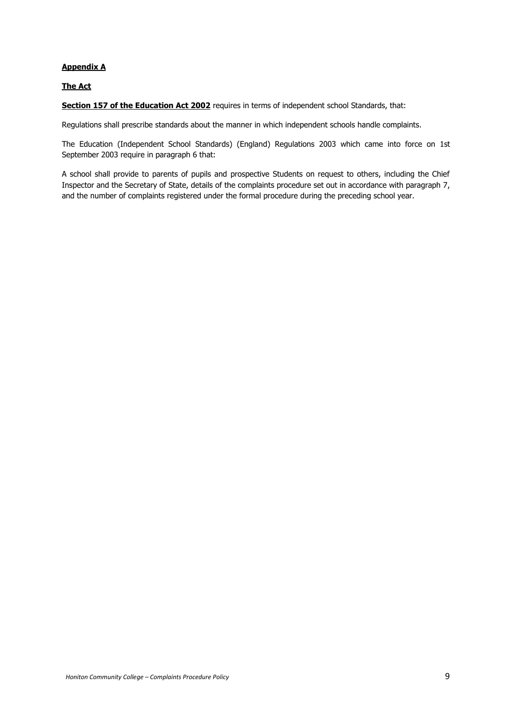### **Appendix A**

## **The Act**

**Section 157 of the Education Act 2002** requires in terms of independent school Standards, that:

Regulations shall prescribe standards about the manner in which independent schools handle complaints.

The Education (Independent School Standards) (England) Regulations 2003 which came into force on 1st September 2003 require in paragraph 6 that:

A school shall provide to parents of pupils and prospective Students on request to others, including the Chief Inspector and the Secretary of State, details of the complaints procedure set out in accordance with paragraph 7, and the number of complaints registered under the formal procedure during the preceding school year.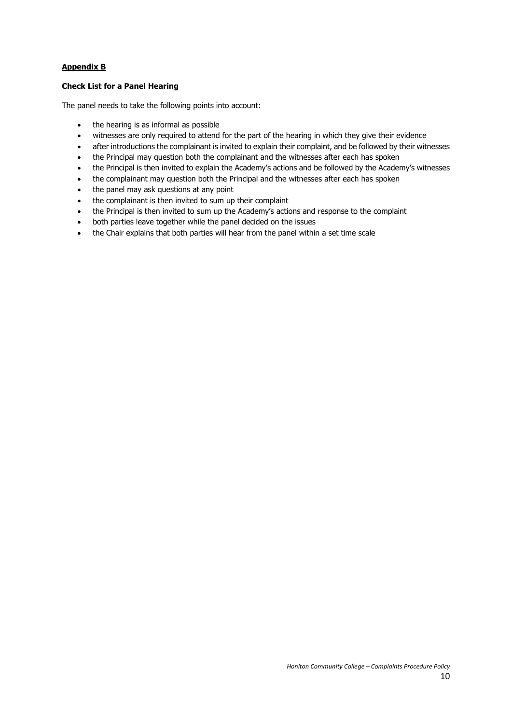## **Appendix B**

## **Check List for a Panel Hearing**

The panel needs to take the following points into account:

- the hearing is as informal as possible
- witnesses are only required to attend for the part of the hearing in which they give their evidence
- after introductions the complainant is invited to explain their complaint, and be followed by their witnesses
- the Principal may question both the complainant and the witnesses after each has spoken
- the Principal is then invited to explain the Academy's actions and be followed by the Academy's witnesses
- the complainant may question both the Principal and the witnesses after each has spoken
- the panel may ask questions at any point
- the complainant is then invited to sum up their complaint
- the Principal is then invited to sum up the Academy's actions and response to the complaint
- both parties leave together while the panel decided on the issues
- the Chair explains that both parties will hear from the panel within a set time scale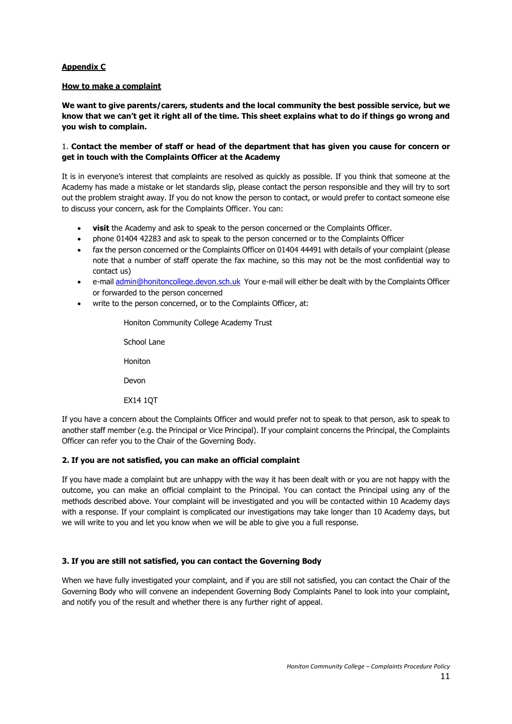### **Appendix C**

### **How to make a complaint**

**We want to give parents/carers, students and the local community the best possible service, but we know that we can't get it right all of the time. This sheet explains what to do if things go wrong and you wish to complain.** 

## 1. **Contact the member of staff or head of the department that has given you cause for concern or get in touch with the Complaints Officer at the Academy**

It is in everyone's interest that complaints are resolved as quickly as possible. If you think that someone at the Academy has made a mistake or let standards slip, please contact the person responsible and they will try to sort out the problem straight away. If you do not know the person to contact, or would prefer to contact someone else to discuss your concern, ask for the Complaints Officer. You can:

- **visit** the Academy and ask to speak to the person concerned or the Complaints Officer.
- phone 01404 42283 and ask to speak to the person concerned or to the Complaints Officer
- fax the person concerned or the Complaints Officer on 01404 44491 with details of your complaint (please note that a number of staff operate the fax machine, so this may not be the most confidential way to contact us)
- e-mai[l admin@honitoncollege.devon.sch.uk](mailto:admin@honitoncollege.devon.sch.uk) Your e-mail will either be dealt with by the Complaints Officer or forwarded to the person concerned
- write to the person concerned, or to the Complaints Officer, at:

Honiton Community College Academy Trust School Lane

Honiton

Devon

EX14 1QT

If you have a concern about the Complaints Officer and would prefer not to speak to that person, ask to speak to another staff member (e.g. the Principal or Vice Principal). If your complaint concerns the Principal, the Complaints Officer can refer you to the Chair of the Governing Body.

## **2. If you are not satisfied, you can make an official complaint**

If you have made a complaint but are unhappy with the way it has been dealt with or you are not happy with the outcome, you can make an official complaint to the Principal. You can contact the Principal using any of the methods described above. Your complaint will be investigated and you will be contacted within 10 Academy days with a response. If your complaint is complicated our investigations may take longer than 10 Academy days, but we will write to you and let you know when we will be able to give you a full response.

## **3. If you are still not satisfied, you can contact the Governing Body**

When we have fully investigated your complaint, and if you are still not satisfied, you can contact the Chair of the Governing Body who will convene an independent Governing Body Complaints Panel to look into your complaint, and notify you of the result and whether there is any further right of appeal.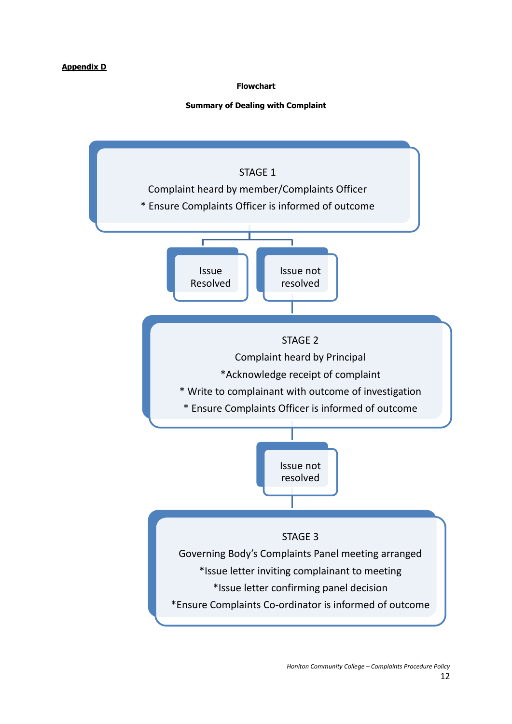## **Appendix D**

## **Flowchart**

## **Summary of Dealing with Complaint**